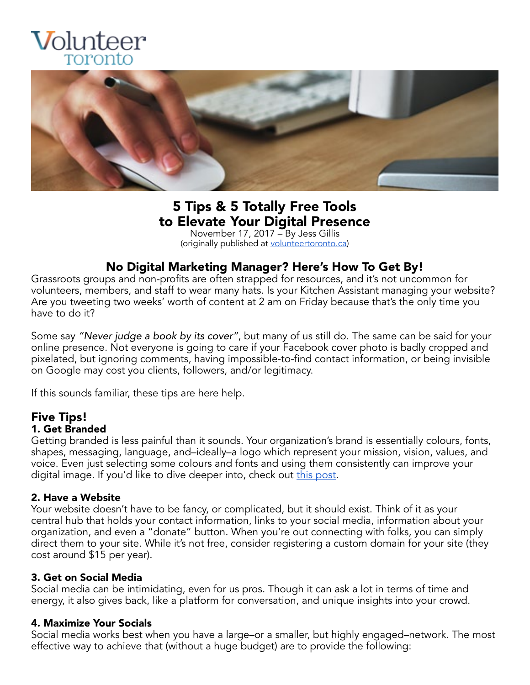



# 5 Tips & 5 Totally Free Tools to Elevate Your Digital Presence<br>November 17, 2017 – By Jess Gillis

(originally published at [volunteertoronto.ca\)](http://www.volunteertoronto.ca/blogpost/1296563/289743/5-tips-and-5-totally-free-tools-to-elevate-your-digital-presence)

### No Digital Marketing Manager? Here's How To Get By!

Grassroots groups and non-profits are often strapped for resources, and it's not uncommon for volunteers, members, and staff to wear many hats. Is your Kitchen Assistant managing your website? Are you tweeting two weeks' worth of content at 2 am on Friday because that's the only time you have to do it?

Some say *"Never judge a book by its cover"*, but many of us still do. The same can be said for your online presence. Not everyone is going to care if your Facebook cover photo is badly cropped and pixelated, but ignoring comments, having impossible-to-find contact information, or being invisible on Google may cost you clients, followers, and/or legitimacy.

If this sounds familiar, these tips are here help.

#### Five Tips! 1. Get Branded

Getting branded is less painful than it sounds. Your organization's brand is essentially colours, fonts, shapes, messaging, language, and–ideally–a logo which represent your mission, vision, values, and voice. Even just selecting some colours and fonts and using them consistently can improve your digital image. If you'd like to dive deeper into, check ou[t](https://99designs.ca/blog/tips/how-to-create-a-brand-style-guide/) [this post](https://99designs.ca/blog/tips/how-to-create-a-brand-style-guide/).

#### 2. Have a Website

Your website doesn't have to be fancy, or complicated, but it should exist. Think of it as your central hub that holds your contact information, links to your social media, information about your organization, and even a "donate" button. When you're out connecting with folks, you can simply direct them to your site. While it's not free, consider registering a custom domain for your site (they cost around \$15 per year).

#### 3. Get on Social Media

Social media can be intimidating, even for us pros. Though it can ask a lot in terms of time and energy, it also gives back, like a platform for conversation, and unique insights into your crowd.

#### 4. Maximize Your Socials

Social media works best when you have a large–or a smaller, but highly engaged–network. The most effective way to achieve that (without a huge budget) are to provide the following: